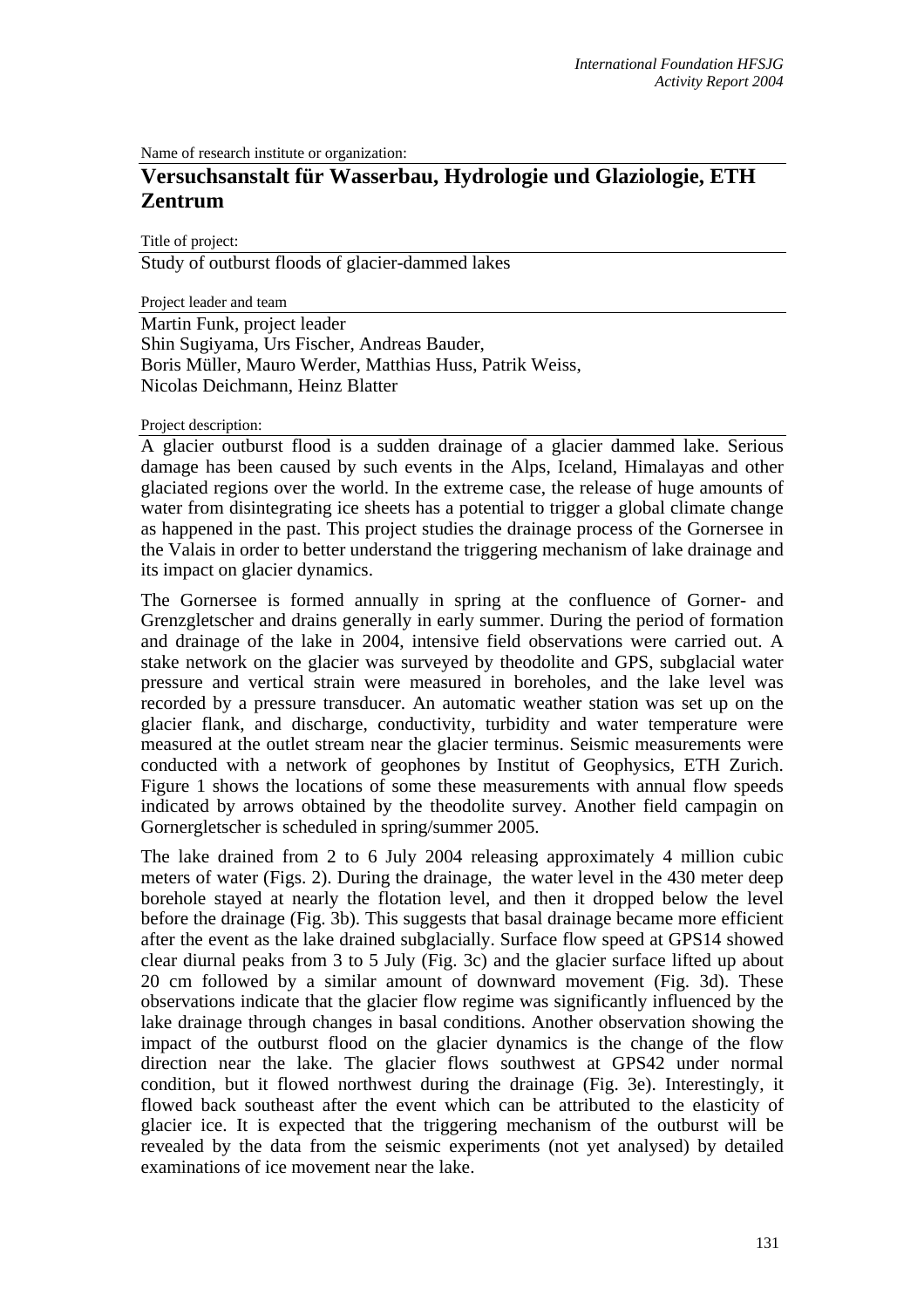Name of research institute or organization:

## **Versuchsanstalt für Wasserbau, Hydrologie und Glaziologie, ETH Zentrum**

Title of project:

Study of outburst floods of glacier-dammed lakes

Project leader and team

Martin Funk, project leader Shin Sugiyama, Urs Fischer, Andreas Bauder, Boris Müller, Mauro Werder, Matthias Huss, Patrik Weiss, Nicolas Deichmann, Heinz Blatter

## Project description:

A glacier outburst flood is a sudden drainage of a glacier dammed lake. Serious damage has been caused by such events in the Alps, Iceland, Himalayas and other glaciated regions over the world. In the extreme case, the release of huge amounts of water from disintegrating ice sheets has a potential to trigger a global climate change as happened in the past. This project studies the drainage process of the Gornersee in the Valais in order to better understand the triggering mechanism of lake drainage and its impact on glacier dynamics.

The Gornersee is formed annually in spring at the confluence of Gorner- and Grenzgletscher and drains generally in early summer. During the period of formation and drainage of the lake in 2004, intensive field observations were carried out. A stake network on the glacier was surveyed by theodolite and GPS, subglacial water pressure and vertical strain were measured in boreholes, and the lake level was recorded by a pressure transducer. An automatic weather station was set up on the glacier flank, and discharge, conductivity, turbidity and water temperature were measured at the outlet stream near the glacier terminus. Seismic measurements were conducted with a network of geophones by Institut of Geophysics, ETH Zurich. Figure 1 shows the locations of some these measurements with annual flow speeds indicated by arrows obtained by the theodolite survey. Another field campagin on Gornergletscher is scheduled in spring/summer 2005.

The lake drained from 2 to 6 July 2004 releasing approximately 4 million cubic meters of water (Figs. 2). During the drainage, the water level in the 430 meter deep borehole stayed at nearly the flotation level, and then it dropped below the level before the drainage (Fig. 3b). This suggests that basal drainage became more efficient after the event as the lake drained subglacially. Surface flow speed at GPS14 showed clear diurnal peaks from 3 to 5 July (Fig. 3c) and the glacier surface lifted up about 20 cm followed by a similar amount of downward movement (Fig. 3d). These observations indicate that the glacier flow regime was significantly influenced by the lake drainage through changes in basal conditions. Another observation showing the impact of the outburst flood on the glacier dynamics is the change of the flow direction near the lake. The glacier flows southwest at GPS42 under normal condition, but it flowed northwest during the drainage (Fig. 3e). Interestingly, it flowed back southeast after the event which can be attributed to the elasticity of glacier ice. It is expected that the triggering mechanism of the outburst will be revealed by the data from the seismic experiments (not yet analysed) by detailed examinations of ice movement near the lake.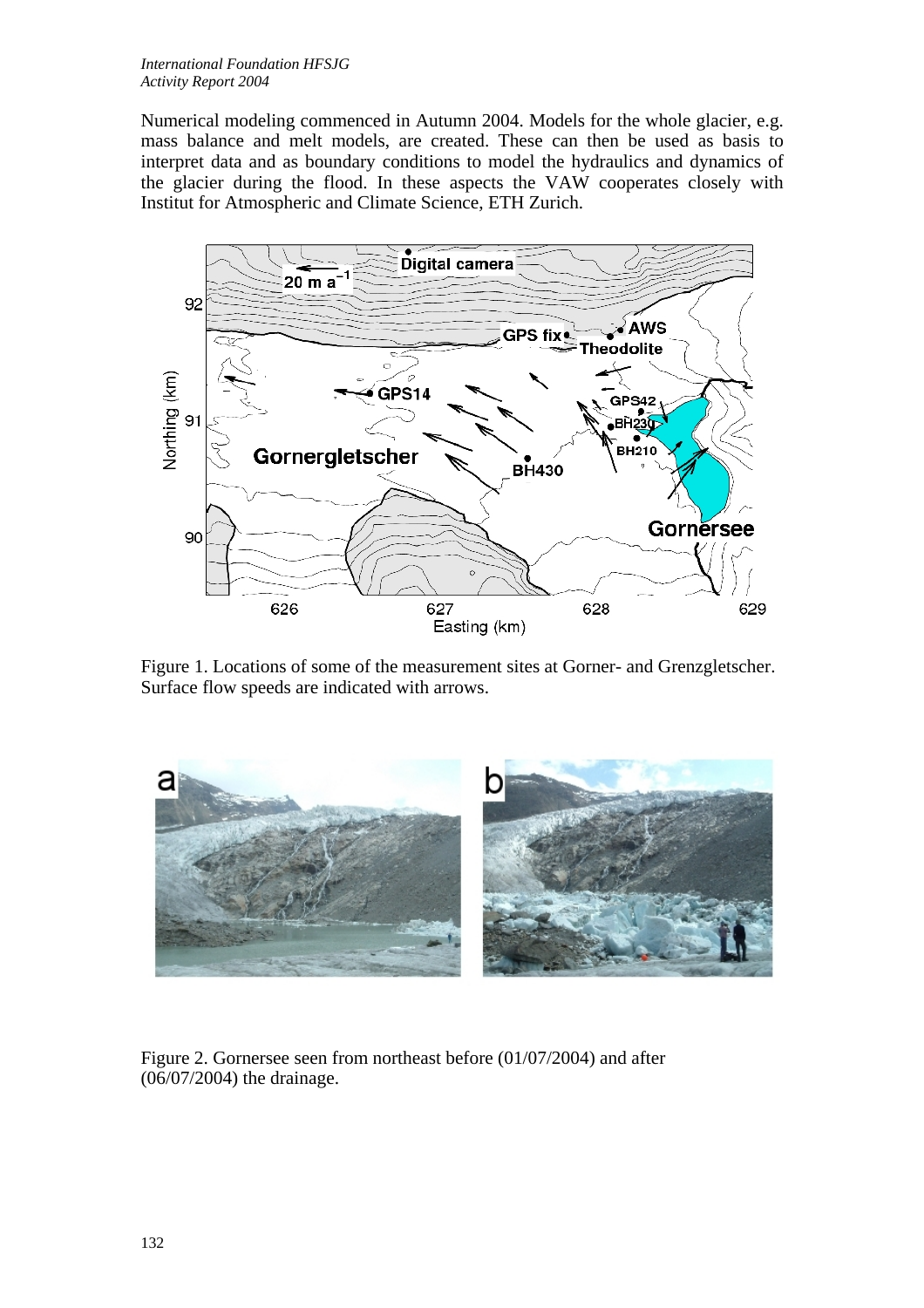Numerical modeling commenced in Autumn 2004. Models for the whole glacier, e.g. mass balance and melt models, are created. These can then be used as basis to interpret data and as boundary conditions to model the hydraulics and dynamics of the glacier during the flood. In these aspects the VAW cooperates closely with Institut for Atmospheric and Climate Science, ETH Zurich.



Figure 1. Locations of some of the measurement sites at Gor ner- and Grenzgletscher. Surface flow speeds are indicated with arrows.



Figure 2. Gornersee seen from northeast before  $(01/07/2004)$  and after (06/07/2004) the drainage.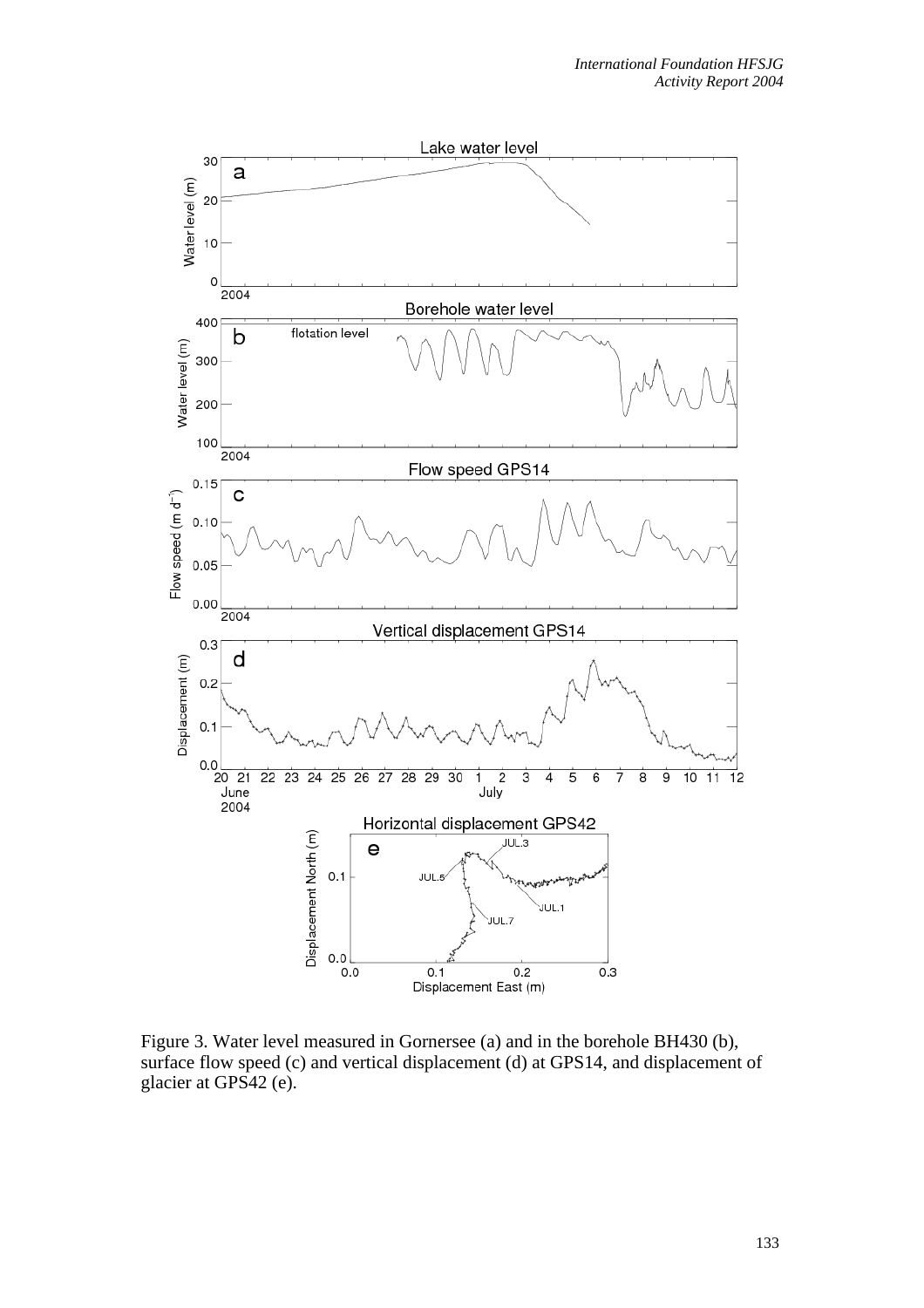

Figure 3. Water level measured in Gornersee (a) and in the borehole BH430 (b), surface flow speed (c) and vertical displacement (d) at GPS14, and displacement of glacier at GPS42 (e).